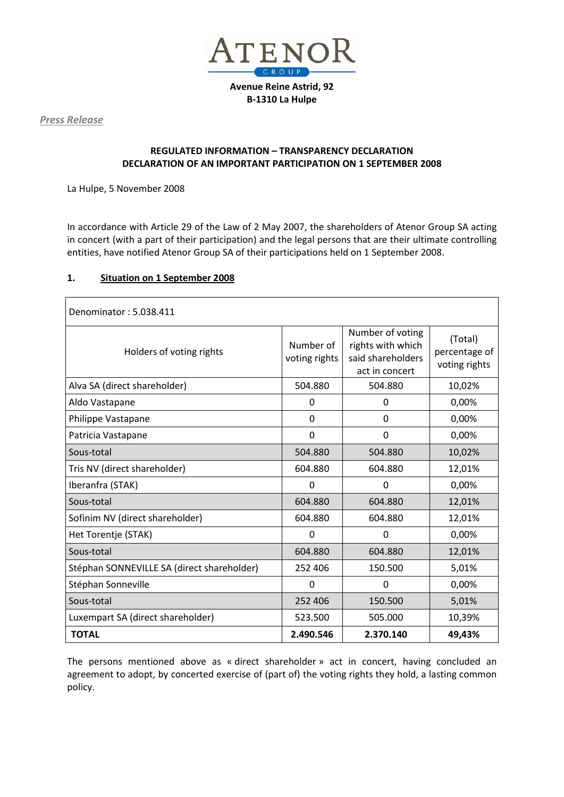

**Avenue Reine Astrid, 92 B-1310 La Hulpe**

*Press Release*

# **REGULATED INFORMATION – TRANSPARENCY DECLARATION DECLARATION OF AN IMPORTANT PARTICIPATION ON 1 SEPTEMBER 2008**

La Hulpe, 5 November 2008

In accordance with Article 29 of the Law of 2 May 2007, the shareholders of Atenor Group SA acting in concert (with a part of their participation) and the legal persons that are their ultimate controlling entities, have notified Atenor Group SA of their participations held on 1 September 2008.

#### **1. Situation on 1 September 2008**

| Denominator: 5.038.411                     |                            |                                                                              |                                           |
|--------------------------------------------|----------------------------|------------------------------------------------------------------------------|-------------------------------------------|
| Holders of voting rights                   | Number of<br>voting rights | Number of voting<br>rights with which<br>said shareholders<br>act in concert | (Total)<br>percentage of<br>voting rights |
| Alva SA (direct shareholder)               | 504.880                    | 504.880                                                                      | 10,02%                                    |
| Aldo Vastapane                             | $\Omega$                   | 0                                                                            | 0,00%                                     |
| Philippe Vastapane                         | $\Omega$                   | $\mathbf{0}$                                                                 | 0,00%                                     |
| Patricia Vastapane                         | $\mathbf 0$                | 0                                                                            | 0,00%                                     |
| Sous-total                                 | 504.880                    | 504.880                                                                      | 10,02%                                    |
| Tris NV (direct shareholder)               | 604.880                    | 604.880                                                                      | 12,01%                                    |
| Iberanfra (STAK)                           | $\overline{0}$             | $\overline{0}$                                                               | 0,00%                                     |
| Sous-total                                 | 604.880                    | 604.880                                                                      | 12,01%                                    |
| Sofinim NV (direct shareholder)            | 604.880                    | 604.880                                                                      | 12,01%                                    |
| Het Torentje (STAK)                        | $\mathbf 0$                | 0                                                                            | 0,00%                                     |
| Sous-total                                 | 604.880                    | 604.880                                                                      | 12,01%                                    |
| Stéphan SONNEVILLE SA (direct shareholder) | 252 406                    | 150.500                                                                      | 5,01%                                     |
| Stéphan Sonneville                         | 0                          | 0                                                                            | 0,00%                                     |
| Sous-total                                 | 252 406                    | 150.500                                                                      | 5,01%                                     |
| Luxempart SA (direct shareholder)          | 523.500                    | 505.000                                                                      | 10,39%                                    |
| <b>TOTAL</b>                               | 2.490.546                  | 2.370.140                                                                    | 49,43%                                    |

The persons mentioned above as « direct shareholder » act in concert, having concluded an agreement to adopt, by concerted exercise of (part of) the voting rights they hold, a lasting common policy.